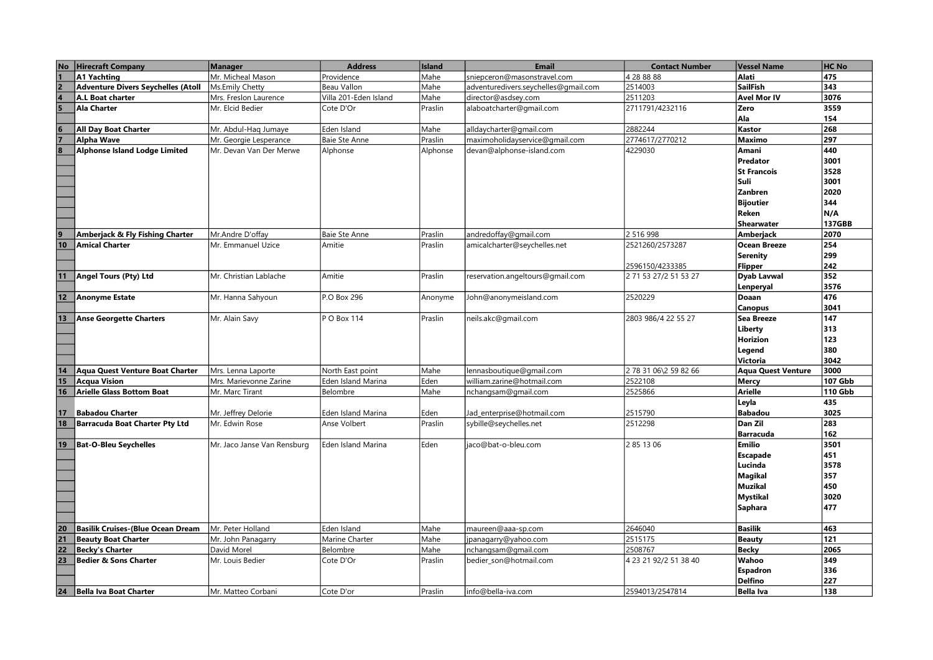| <b>No</b>                                                     | <b>Hirecraft Company</b>                  | <b>Manager</b>              | <b>Address</b>        | <b>Island</b> | <b>Email</b>                         | <b>Contact Number</b> | <b>Vessel Name</b>  | <b>HC No</b>   |
|---------------------------------------------------------------|-------------------------------------------|-----------------------------|-----------------------|---------------|--------------------------------------|-----------------------|---------------------|----------------|
|                                                               | A1 Yachting                               | Mr. Micheal Mason           | Providence            | Mahe          | sniepceron@masonstravel.com          | 4 28 88 88            | Alati               | 475            |
|                                                               | <b>Adventure Divers Seychelles (Atoll</b> | Ms.Emily Chetty             | Beau Vallon           | Mahe          | adventuredivers.seychelles@gmail.com | 2514003               | SailFish            | 343            |
| $\frac{2}{4}$                                                 | A.L Boat charter                          | Mrs. Freslon Laurence       | Villa 201-Eden Island | Mahe          | director@asdsey.com                  | 2511203               | <b>Avel Mor IV</b>  | 3076           |
|                                                               | <b>Ala Charter</b>                        | Mr. Elcid Bedier            | Cote D'Or             | Praslin       | alaboatcharter@gmail.com             | 2711791/4232116       | Zero                | 3559           |
|                                                               |                                           |                             |                       |               |                                      |                       | Ala                 | 154            |
|                                                               | <b>All Day Boat Charter</b>               | Mr. Abdul-Haq Jumaye        | Eden Island           | Mahe          | alldaycharter@gmail.com              | 2882244               | Kastor              | 268            |
| $\frac{6}{7}$                                                 | Alpha Wave                                | Mr. Georgie Lesperance      | Baie Ste Anne         | Praslin       | maximoholidayservice@gmail.com       | 2774617/2770212       | <b>Maximo</b>       | 297            |
| $\overline{\mathbf{8}}$                                       | <b>Alphonse Island Lodge Limited</b>      | Mr. Devan Van Der Merwe     | Alphonse              | Alphonse      | devan@alphonse-island.com            | 4229030               | Amani               | 440            |
|                                                               |                                           |                             |                       |               |                                      |                       | Predator            | 3001           |
|                                                               |                                           |                             |                       |               |                                      |                       | <b>St Francois</b>  | 3528           |
|                                                               |                                           |                             |                       |               |                                      |                       | Suli                | 3001           |
|                                                               |                                           |                             |                       |               |                                      |                       | Zanbren             | 2020           |
|                                                               |                                           |                             |                       |               |                                      |                       | <b>Bijoutier</b>    | 344            |
|                                                               |                                           |                             |                       |               |                                      |                       | Reken               | N/A            |
|                                                               |                                           |                             |                       |               |                                      |                       | Shearwater          | 137GBB         |
|                                                               | Amberjack & Fly Fishing Charter           | Mr.Andre D'offay            | Baie Ste Anne         | Praslin       | andredoffay@gmail.com                | 2 516 998             | Amberjack           | 2070           |
| $\frac{9}{10}$                                                | <b>Amical Charter</b>                     | Mr. Emmanuel Uzice          | Amitie                | Praslin       | amicalcharter@seychelles.net         | 2521260/2573287       | <b>Ocean Breeze</b> | 254            |
|                                                               |                                           |                             |                       |               |                                      |                       | Serenity            | 299            |
|                                                               |                                           |                             |                       |               |                                      | 2596150/4233385       | Flipper             | 242            |
| 11                                                            | Angel Tours (Pty) Ltd                     | Mr. Christian Lablache      | Amitie                | Praslin       | reservation.angeltours@gmail.com     | 2 71 53 27/2 51 53 27 | Dyab Lavwal         | 352            |
|                                                               |                                           |                             |                       |               |                                      |                       | Lenperyal           | 3576           |
| 12                                                            | <b>Anonyme Estate</b>                     | Mr. Hanna Sahyoun           | P.O Box 296           | Anonyme       | John@anonymeisland.com               | 2520229               | Doaan               | 476            |
|                                                               |                                           |                             |                       |               |                                      |                       | <b>Canopus</b>      | 3041           |
| 13                                                            | <b>Anse Georgette Charters</b>            | Mr. Alain Savy              | IP O Box 114          | Praslin       | neils.akc@gmail.com                  | 2803 986/4 22 55 27   | <b>Sea Breeze</b>   | 147            |
|                                                               |                                           |                             |                       |               |                                      |                       | Liberty             | 313            |
|                                                               |                                           |                             |                       |               |                                      |                       | Horizion            | 123            |
|                                                               |                                           |                             |                       |               |                                      |                       | Legend              | 380            |
|                                                               |                                           |                             |                       |               |                                      |                       | Victoria            | 3042           |
| 14                                                            | <b>Aqua Quest Venture Boat Charter</b>    | Mrs. Lenna Laporte          | North East point      | Mahe          | ennasboutique@gmail.com              | 2 78 31 06\2 59 82 66 | Aqua Quest Venture  | 3000           |
| 15                                                            | <b>Acqua Vision</b>                       | Mrs. Marievonne Zarine      | Eden Island Marina    | Eden          | william.zarine@hotmail.com           | 2522108               | <b>Mercy</b>        | <b>107 Gbb</b> |
| $\overline{16}$                                               | <b>Arielle Glass Bottom Boat</b>          | Mr. Marc Tirant             | Belombre              | Mahe          | nchangsam@gmail.com                  | 2525866               | <b>Arielle</b>      | <b>110 Gbb</b> |
|                                                               |                                           |                             |                       |               |                                      |                       | Leyla               | 435            |
| 17                                                            | <b>Babadou Charter</b>                    | Mr. Jeffrey Delorie         | Eden Island Marina    | Eden          | Jad_enterprise@hotmail.com           | 2515790               | <b>Babadou</b>      | 3025           |
| 18                                                            | <b>Barracuda Boat Charter Pty Ltd</b>     | Mr. Edwin Rose              | Anse Volbert          | Praslin       | sybille@seychelles.net               | 2512298               | Dan Zil             | 283            |
|                                                               |                                           |                             |                       |               |                                      |                       | <b>Barracuda</b>    | 162            |
| 19                                                            | <b>Bat-O-Bleu Seychelles</b>              | Mr. Jaco Janse Van Rensburg | lEden Island Marina   | Eden          | jaco@bat-o-bleu.com                  | 2 85 13 06            | <b>Emilio</b>       | 3501           |
|                                                               |                                           |                             |                       |               |                                      |                       | <b>Escapade</b>     | 451            |
|                                                               |                                           |                             |                       |               |                                      |                       | Lucinda             | 3578           |
|                                                               |                                           |                             |                       |               |                                      |                       | <b>Magikal</b>      | 357            |
|                                                               |                                           |                             |                       |               |                                      |                       | <b>Muzikal</b>      | 450            |
|                                                               |                                           |                             |                       |               |                                      |                       | <b>Mystikal</b>     | 3020           |
|                                                               |                                           |                             |                       |               |                                      |                       | <b>Saphara</b>      | 477            |
|                                                               |                                           |                             |                       |               |                                      |                       |                     |                |
|                                                               | <b>Basilik Cruises-(Blue Ocean Dream</b>  | Mr. Peter Holland           | Eden Island           | Mahe          | maureen@aaa-sp.com                   | 2646040               | <b>Basilik</b>      | 463            |
| $\begin{array}{ c c }\n\hline\n20 \\ \hline\n21\n\end{array}$ | <b>Beauty Boat Charter</b>                | Mr. John Panagarry          | Marine Charter        | Mahe          | panagarry@yahoo.com                  | 2515175               | <b>Beauty</b>       | 121            |
| $\frac{22}{23}$                                               | <b>Becky's Charter</b>                    | David Morel                 | Belombre              | Mahe          | nchangsam@gmail.com                  | 2508767               | <b>Becky</b>        | 2065           |
|                                                               | <b>Bedier &amp; Sons Charter</b>          | Mr. Louis Bedier            | Cote D'Or             | Praslin       | bedier_son@hotmail.com               | 4 23 21 92/2 51 38 40 | Wahoo               | 349            |
|                                                               |                                           |                             |                       |               |                                      |                       | <b>Espadron</b>     | 336            |
|                                                               |                                           |                             |                       |               |                                      |                       | Delfino             | 227            |
| 24                                                            | <b>Bella Iva Boat Charter</b>             | Mr. Matteo Corbani          | Cote D'or             | Praslin       | info@bella-iva.com                   | 2594013/2547814       | <b>Bella Iva</b>    | 138            |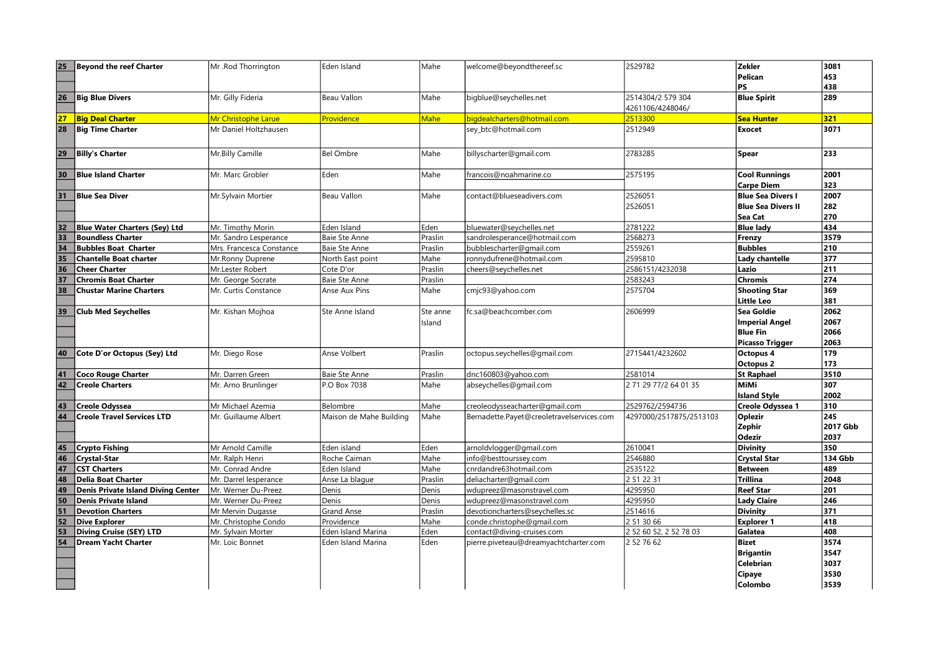| 25 | Beyond the reef Charter                   | Mr .Rod Thorrington      | Eden Island             | Mahe              | welcome@beyondthereef.sc                  | 2529782                 | <b>Zekler</b>             | 3081     |
|----|-------------------------------------------|--------------------------|-------------------------|-------------------|-------------------------------------------|-------------------------|---------------------------|----------|
|    |                                           |                          |                         |                   |                                           |                         | Pelican                   | 453      |
|    |                                           |                          |                         |                   |                                           |                         | <b>PS</b>                 | 438      |
| 26 | <b>Big Blue Divers</b>                    | Mr. Gilly Fideria        | Beau Vallon             | Mahe              | bigblue@seychelles.net                    | 2514304/2 579 304       | <b>Blue Spirit</b>        | 289      |
|    |                                           |                          |                         |                   |                                           | 4261106/4248046/        |                           |          |
| 27 | <b>Big Deal Charter</b>                   | Mr Christophe Larue      | Providence              | Mahe <sup>1</sup> | bigdealcharters@hotmail.com               | 2513300                 | <b>Sea Hunter</b>         | 321      |
| 28 | <b>Big Time Charter</b>                   | Mr Daniel Holtzhausen    |                         |                   | sey_btc@hotmail.com                       | 2512949                 | <b>Exocet</b>             | 3071     |
|    |                                           |                          |                         |                   |                                           |                         |                           |          |
| 29 | <b>Billy's Charter</b>                    | Mr.Billy Camille         | <b>Bel Ombre</b>        | Mahe              | billyscharter@gmail.com                   | 2783285                 | <b>Spear</b>              | 233      |
|    |                                           |                          |                         |                   |                                           |                         |                           |          |
| 30 | Blue Island Charter                       | Mr. Marc Grobler         | Eden                    | Mahe              | francois@noahmarine.co                    | 2575195                 | <b>Cool Runnings</b>      | 2001     |
|    |                                           |                          |                         |                   |                                           |                         | <b>Carpe Diem</b>         | 323      |
| 31 | Blue Sea Diver                            | Mr.Sylvain Mortier       | Beau Vallon             | Mahe              | contact@blueseadivers.com                 | 2526051                 | <b>Blue Sea Divers I</b>  | 2007     |
|    |                                           |                          |                         |                   |                                           | 2526051                 | <b>Blue Sea Divers II</b> | 282      |
|    |                                           |                          |                         |                   |                                           |                         | Sea Cat                   | 270      |
| 32 | Blue Water Charters (Sey) Ltd             | Mr. Timothy Morin        | Eden Island             | Eden              | bluewater@seychelles.net                  | 2781222                 | <b>Blue lady</b>          | 434      |
| 33 | <b>Boundless Charter</b>                  | Mr. Sandro Lesperance    | Baie Ste Anne           | Praslin           | sandrolesperance@hotmail.com              | 2568273                 | Frenzy                    | 3579     |
| 34 | <b>Bubbles Boat Charter</b>               | Mrs. Francesca Constance | Baie Ste Anne           | Praslin           | bubblescharter@gmail.com                  | 2559261                 | <b>Bubbles</b>            | 210      |
| 35 | <b>Chantelle Boat charter</b>             | Mr.Ronny Duprene         | North East point        | Mahe              | ronnydufrene@hotmail.com                  | 2595810                 | Lady chantelle            | 377      |
| 36 | <b>Cheer Charter</b>                      | Mr.Lester Robert         | Cote D'or               | Praslin           | cheers@seychelles.net                     | 2586151/4232038         | Lazio                     | 211      |
| 37 | <b>Chromis Boat Charter</b>               | Mr. George Socrate       | Baie Ste Anne           | Praslin           |                                           | 2583243                 | <b>Chromis</b>            | 274      |
| 38 | <b>Chustar Marine Charters</b>            | Mr. Curtis Constance     | Anse Aux Pins           | Mahe              | cmjc93@yahoo.com                          | 2575704                 | <b>Shooting Star</b>      | 369      |
|    |                                           |                          |                         |                   |                                           |                         | Little Leo                | 381      |
| 39 | <b>Club Med Seychelles</b>                | Mr. Kishan Mojhoa        | Ste Anne Island         | Ste anne          | fc.sa@beachcomber.com                     | 2606999                 | <b>Sea Goldie</b>         | 2062     |
|    |                                           |                          |                         | Island            |                                           |                         | <b>Imperial Angel</b>     | 2067     |
|    |                                           |                          |                         |                   |                                           |                         | <b>Blue Fin</b>           | 2066     |
|    |                                           |                          |                         |                   |                                           |                         | <b>Picasso Trigger</b>    | 2063     |
| 40 | Cote D'or Octopus (Sey) Ltd               | Mr. Diego Rose           | Anse Volbert            | Praslin           | octopus.seychelles@gmail.com              | 2715441/4232602         | Octopus 4                 | 179      |
|    |                                           |                          |                         |                   |                                           |                         | <b>Octopus 2</b>          | 173      |
| 41 | <b>Coco Rouge Charter</b>                 | Mr. Darren Green         | Baie Ste Anne           | Praslin           | dnc160803@yahoo.com                       | 2581014                 | <b>St Raphael</b>         | 3510     |
| 42 | <b>Creole Charters</b>                    | Mr. Arno Brunlinger      | P.O Box 7038            | Mahe              | abseychelles@gmail.com                    | 2 71 29 77/2 64 01 35   | <b>MiMi</b>               | 307      |
|    |                                           |                          |                         |                   |                                           |                         | <b>Island Style</b>       | 2002     |
| 43 | <b>Creole Odyssea</b>                     | Mr Michael Azemia        | Belombre                | Mahe              | creoleodysseacharter@gmail.com            | 2529762/2594736         | Creole Odyssea 1          | 310      |
| 44 | <b>Creole Travel Services LTD</b>         | Mr. Guillaume Albert     | Maison de Mahe Building | Mahe              | Bernadette.Payet@creoletravelservices.com | 4297000/2517875/2513103 | <b>Oplezir</b>            | 245      |
|    |                                           |                          |                         |                   |                                           |                         | Zephir                    | 2017 Gbb |
|    |                                           |                          |                         |                   |                                           |                         | <b>Odezir</b>             | 2037     |
| 45 | Crypto Fishing                            | Mr Arnold Camille        | Eden island             | lEden             | arnoldvlogger@gmail.com                   | 2610041                 | <b>Divinity</b>           | 350      |
| 46 | Crystal-Star                              | Mr. Ralph Henri          | Roche Caiman            | Mahe              | info@besttourssey.com                     | 2546880                 | <b>Crystal Star</b>       | 134 Gbb  |
| 47 | <b>CST Charters</b>                       | Mr. Conrad Andre         | Eden Island             | lMahe             | cnrdandre63hotmail.com                    | 2535122                 | <b>Between</b>            | 489      |
| 48 | Delia Boat Charter                        | Mr. Darrel lesperance    | Anse La blaque          | Praslin           | deliacharter@gmail.com                    | 2 51 22 31              | <b>Trillina</b>           | 2048     |
| 49 | <b>Denis Private Island Diving Center</b> | Mr. Werner Du-Preez      | Denis                   | Denis             | wdupreez@masonstravel.com                 | 4295950                 | <b>Reef Star</b>          | 201      |
| 50 | Denis Private Island                      | Mr. Werner Du-Preez      | Denis                   | Denis             | wdupreez@masonstravel.com                 | 4295950                 | <b>Lady Claire</b>        | 246      |
| 51 | <b>Devotion Charters</b>                  | Mr Mervin Dugasse        | Grand Anse              | Praslin           | devotioncharters@seychelles.sc            | 2514616                 | <b>Divinity</b>           | 371      |
| 52 | <b>Dive Explorer</b>                      | Mr. Christophe Condo     | Providence              | Mahe              | conde.christophe@gmail.com                | 2 51 30 66              | <b>Explorer 1</b>         | 418      |
| 53 | Diving Cruise (SEY) LTD                   | Mr. Sylvain Morter       | Eden Island Marina      | Eden              | contact@diving-cruises.com                | 2 52 60 52, 2 52 78 03  | Galatea                   | 408      |
| 54 | <b>Dream Yacht Charter</b>                | Mr. Loic Bonnet          | Eden Island Marina      | Eden              | pierre.piveteau@dreamyachtcharter.com     | 2 52 76 62              | <b>Bizet</b>              | 3574     |
|    |                                           |                          |                         |                   |                                           |                         | <b>Brigantin</b>          | 3547     |
|    |                                           |                          |                         |                   |                                           |                         | Celebrian                 | 3037     |
|    |                                           |                          |                         |                   |                                           |                         | Cipaye                    | 3530     |
|    |                                           |                          |                         |                   |                                           |                         | Colombo                   | 3539     |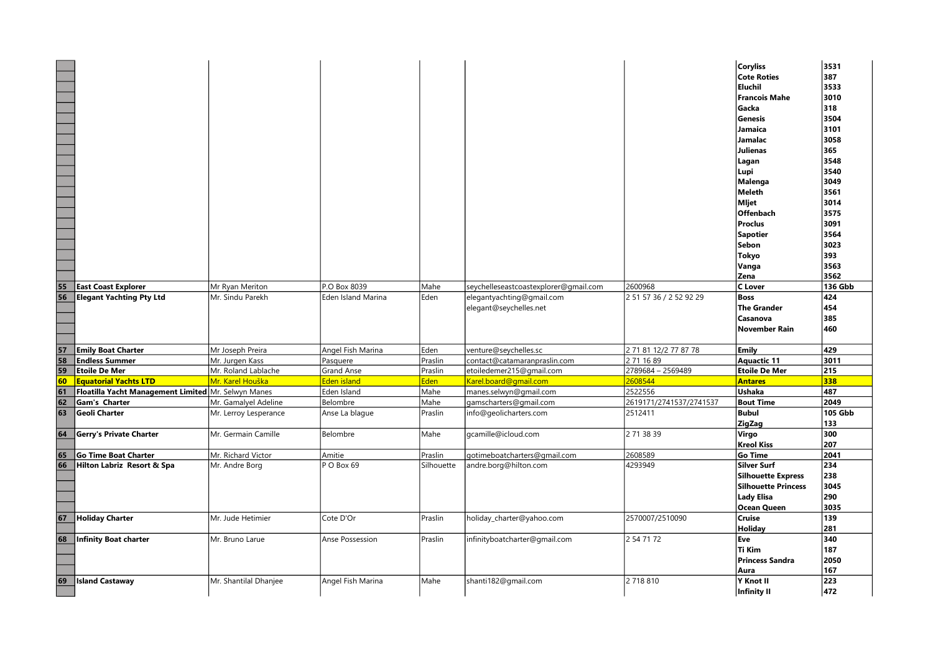|                 |                                                       |                       |                           |            |                                       |                         | <b>Coryliss</b>            | 3531           |
|-----------------|-------------------------------------------------------|-----------------------|---------------------------|------------|---------------------------------------|-------------------------|----------------------------|----------------|
|                 |                                                       |                       |                           |            |                                       |                         | <b>Cote Roties</b>         | 387            |
|                 |                                                       |                       |                           |            |                                       |                         | Eluchil                    | 3533           |
|                 |                                                       |                       |                           |            |                                       |                         |                            |                |
|                 |                                                       |                       |                           |            |                                       |                         | <b>Francois Mahe</b>       | 3010           |
|                 |                                                       |                       |                           |            |                                       |                         | Gacka                      | 318            |
|                 |                                                       |                       |                           |            |                                       |                         | Genesis                    | 3504           |
|                 |                                                       |                       |                           |            |                                       |                         | Jamaica                    | 3101           |
|                 |                                                       |                       |                           |            |                                       |                         | Jamalac                    | 3058           |
|                 |                                                       |                       |                           |            |                                       |                         | Julienas                   | 365            |
|                 |                                                       |                       |                           |            |                                       |                         | Lagan                      | 3548           |
|                 |                                                       |                       |                           |            |                                       |                         | Lupi                       | 3540           |
|                 |                                                       |                       |                           |            |                                       |                         | Malenga                    | 3049           |
|                 |                                                       |                       |                           |            |                                       |                         | Meleth                     | 3561           |
|                 |                                                       |                       |                           |            |                                       |                         | Mljet                      | 3014           |
|                 |                                                       |                       |                           |            |                                       |                         | Offenbach                  | 3575           |
|                 |                                                       |                       |                           |            |                                       |                         | Proclus                    | 3091           |
|                 |                                                       |                       |                           |            |                                       |                         | Sapotier                   | 3564           |
|                 |                                                       |                       |                           |            |                                       |                         | Sebon                      | 3023           |
|                 |                                                       |                       |                           |            |                                       |                         | Tokyo                      | 393            |
|                 |                                                       |                       |                           |            |                                       |                         |                            | 3563           |
|                 |                                                       |                       |                           |            |                                       |                         | Vanga<br>Zena              | 3562           |
| 55              | <b>East Coast Explorer</b>                            | Mr Ryan Meriton       | P.O Box 8039              | Mahe       | seychelleseastcoastexplorer@gmail.com | 2600968                 | C Lover                    | <b>136 Gbb</b> |
| $\overline{56}$ | <b>Elegant Yachting Pty Ltd</b>                       | Mr. Sindu Parekh      | <b>Eden Island Marina</b> | Eden       | elegantyachting@gmail.com             | 2 51 57 36 / 2 52 92 29 | Boss                       | 424            |
|                 |                                                       |                       |                           |            | elegant@seychelles.net                |                         | The Grander                | 454            |
|                 |                                                       |                       |                           |            |                                       |                         | Casanova                   | 385            |
|                 |                                                       |                       |                           |            |                                       |                         |                            |                |
|                 |                                                       |                       |                           |            |                                       |                         |                            |                |
|                 |                                                       |                       |                           |            |                                       |                         | <b>November Rain</b>       | 460            |
|                 |                                                       |                       |                           |            |                                       |                         |                            |                |
| 57              | <b>Emily Boat Charter</b>                             | Mr Joseph Preira      | Angel Fish Marina         | Eden       | venture@seychelles.sc                 | 2 71 81 12/2 77 87 78   | Emily                      | 429            |
| 58              | <b>Endless Summer</b>                                 | Mr. Jurgen Kass       | Pasquere                  | Praslin    | contact@catamaranpraslin.com          | 2 71 16 89              | Aquactic 11                | 3011           |
| 59              | <b>Etoile De Mer</b>                                  | Mr. Roland Lablache   | <b>Grand Anse</b>         | Praslin    | etoiledemer215@gmail.com              | 2789684 - 2569489       | <b>Etoile De Mer</b>       | 215            |
| 60              | <b>Equatorial Yachts LTD</b>                          | Mr. Karel Houška      | Eden island               | Eden       | Karel.board@gmail.com                 | 2608544                 | <b>Antares</b>             | 338            |
| 61              | Floatilla Yacht Management Limited   Mr. Selwyn Manes |                       | Eden Island               | Mahe       | manes.selwyn@gmail.com                | 2522556                 | Ushaka                     | 487            |
| 62              | Gam's Charter                                         | Mr. Gamalyel Adeline  | Belombre                  | Mahe       | gamscharters@gmail.com                | 2619171/2741537/2741537 | <b>Bout Time</b>           | 2049           |
| 63              | Geoli Charter                                         | Mr. Lerroy Lesperance | Anse La blague            | Praslin    | info@geolicharters.com                | 2512411                 | Bubul                      | <b>105 Gbb</b> |
|                 |                                                       |                       |                           |            |                                       |                         | ZigZag                     | 133            |
| 64              | <b>Gerry's Private Charter</b>                        | Mr. Germain Camille   | Belombre                  | Mahe       | gcamille@icloud.com                   | 2 71 38 39              | Virgo                      | 300            |
|                 |                                                       |                       |                           |            |                                       |                         | <b>Kreol Kiss</b>          | 207            |
| 65              | <b>Go Time Boat Charter</b>                           | Mr. Richard Victor    | Amitie                    | Praslin    | gotimeboatcharters@gmail.com          | 2608589                 | Go Time                    | 2041           |
| 66              | Hilton Labriz Resort & Spa                            | Mr. Andre Borg        | PO Box 69                 | Silhouette | andre.borg@hilton.com                 | 4293949                 | Silver Surf                | 234            |
|                 |                                                       |                       |                           |            |                                       |                         | <b>Silhouette Express</b>  | 238            |
|                 |                                                       |                       |                           |            |                                       |                         | <b>Silhouette Princess</b> | 3045           |
|                 |                                                       |                       |                           |            |                                       |                         | Lady Elisa                 | 290            |
|                 |                                                       |                       |                           |            |                                       |                         | <b>Ocean Queen</b>         | 3035           |
| 67              | <b>Holiday Charter</b>                                | Mr. Jude Hetimier     | Cote D'Or                 | Praslin    | holiday_charter@yahoo.com             | 2570007/2510090         | <b>Cruise</b>              | 139            |
|                 |                                                       |                       |                           |            |                                       |                         | Holiday                    | 281            |
| 68              | Infinity Boat charter                                 | Mr. Bruno Larue       | Anse Possession           | Praslin    | infinityboatcharter@gmail.com         | 2 54 71 72              | Eve                        | 340            |
|                 |                                                       |                       |                           |            |                                       |                         | Ti Kim                     | 187            |
|                 |                                                       |                       |                           |            |                                       |                         | <b>Princess Sandra</b>     | 2050           |
|                 |                                                       |                       |                           |            |                                       |                         | Aura                       | 167            |
|                 | 69 Island Castaway                                    | Mr. Shantilal Dhanjee | Angel Fish Marina         | Mahe       | shanti182@gmail.com                   | 2 718 810               | Y Knot II<br>Infinity II   | 223<br>472     |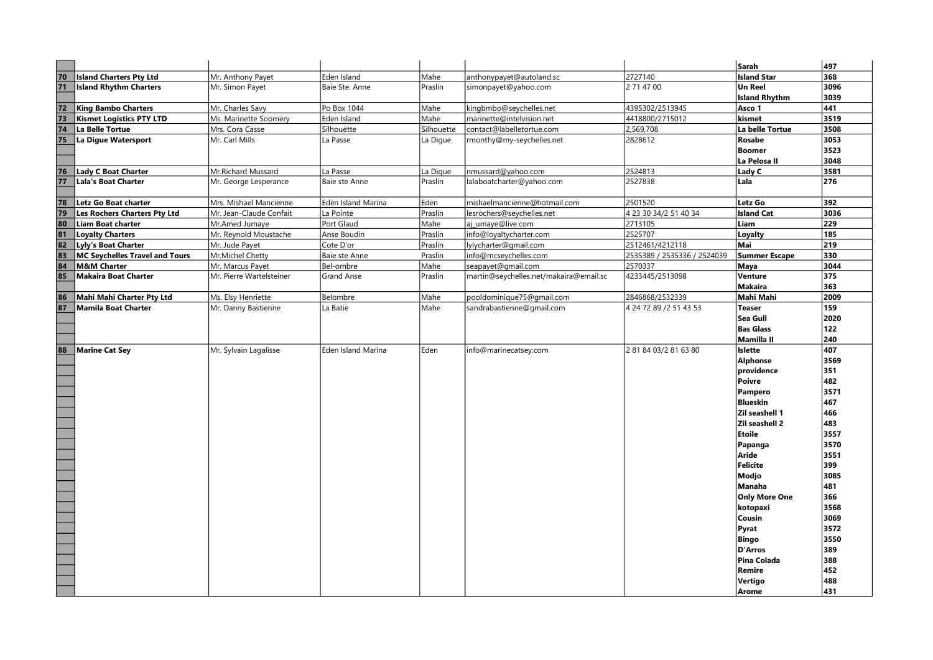|    |                                       |                          |                    |            |                                        |                             | Sarah                | 497  |
|----|---------------------------------------|--------------------------|--------------------|------------|----------------------------------------|-----------------------------|----------------------|------|
| 70 | <b>Island Charters Pty Ltd</b>        | Mr. Anthony Payet        | Eden Island        | Mahe       | anthonypayet@autoland.sc               | 2727140                     | <b>Island Star</b>   | 368  |
| 71 | <b>Island Rhythm Charters</b>         | Mr. Simon Payet          | Baie Ste. Anne     | Praslin    | simonpayet@yahoo.com                   | 2 71 47 00                  | <b>Un Reel</b>       | 3096 |
|    |                                       |                          |                    |            |                                        |                             | <b>Island Rhythm</b> | 3039 |
| 72 | <b>King Bambo Charters</b>            | Mr. Charles Savy         | Po Box 1044        | Mahe       | kingbmbo@seychelles.net                | 4395302/2513945             | Asco 1               | 441  |
| 73 | <b>Kismet Logistics PTY LTD</b>       | Ms. Marinette Soomery    | Eden Island        | Mahe       | marinette@intelvision.net              | 4418800/2715012             | kismet               | 3519 |
| 74 | La Belle Tortue                       | Mrs. Cora Casse          | Silhouette         | Silhouette | contact@labelletortue.com              | 2,569,708                   | La belle Tortue      | 3508 |
| 75 | La Digue Watersport                   | Mr. Carl Mills           | La Passe           | La Digue   | rmonthy@my-seychelles.net              | 2828612                     | Rosabe               | 3053 |
|    |                                       |                          |                    |            |                                        |                             | <b>Boomer</b>        | 3523 |
|    |                                       |                          |                    |            |                                        |                             | La Pelosa II         | 3048 |
| 76 | <b>Lady C Boat Charter</b>            | Mr.Richard Mussard       | La Passe           | La Digue   | nmussard@yahoo.com                     | 2524813                     | Lady C               | 3581 |
| 77 | Lala's Boat Charter                   | Mr. George Lesperance    | Baie ste Anne      | Praslin    | lalaboatcharter@yahoo.com              | 2527838                     | Lala                 | 276  |
| 78 | Letz Go Boat charter                  | Mrs. Mishael Mancienne   | Eden Island Marina | Eden       | mishaelmancienne@hotmail.com           | 2501520                     | Letz Go              | 392  |
| 79 | Les Rochers Charters Pty Ltd          | Mr. Jean-Claude Confait  | La Pointe          | Praslin    | lesrochers@seychelles.net              | 4 23 30 34/2 51 40 34       | <b>Island Cat</b>    | 3036 |
| 80 | Liam Boat charter                     | Mr.Amed Jumaye           | Port Glaud         | Mahe       | aj_umaye@live.com                      | 2713105                     | Liam                 | 229  |
| 81 | <b>Loyalty Charters</b>               | Mr. Reynold Moustache    | Anse Boudin        | Praslin    | info@loyaltycharter.com                | 2525707                     | Loyalty              | 185  |
| 82 | Lyly's Boat Charter                   | Mr. Jude Payet           | Cote D'or          | Praslin    | lylycharter@gmail.com                  | 2512461/4212118             | Mai                  | 219  |
| 83 | <b>MC Seychelles Travel and Tours</b> | Mr.Michel Chetty         | Baie ste Anne      | Praslin    | info@mcseychelles.com                  | 2535389 / 2535336 / 2524039 | <b>Summer Escape</b> | 330  |
| 84 | <b>M&amp;M Charter</b>                | Mr. Marcus Payet         | Bel-ombre          | Mahe       | seapayet@gmail.com                     | 2570337                     | Maya                 | 3044 |
| 85 | <b>Makaira Boat Charter</b>           | Mr. Pierre Wartelsteiner | <b>Grand Anse</b>  | Praslin    | martin@seychelles.net/makaira@email.sc | 4233445/2513098             | <b>Venture</b>       | 375  |
|    |                                       |                          |                    |            |                                        |                             | <b>Makaira</b>       | 363  |
| 86 | Mahi Mahi Charter Pty Ltd             | Ms. Elsy Henriette       | Belombre           | Mahe       | pooldominique75@gmail.com              | 2846868/2532339             | Mahi Mahi            | 2009 |
| 87 | <b>Mamila Boat Charter</b>            | Mr. Danny Bastienne      | La Batie           | Mahe       | sandrabastienne@gmail.com              | 4 24 72 89 /2 51 43 53      | <b>Teaser</b>        | 159  |
|    |                                       |                          |                    |            |                                        |                             | Sea Gull             | 2020 |
|    |                                       |                          |                    |            |                                        |                             | <b>Bas Glass</b>     | 122  |
|    |                                       |                          |                    |            |                                        |                             | <b>Mamilla II</b>    | 240  |
| 88 | Marine Cat Sey                        | Mr. Sylvain Lagalisse    | Eden Island Marina | Eden       | info@marinecatsey.com                  | 2 81 84 03/2 81 63 80       | <b>Islette</b>       | 407  |
|    |                                       |                          |                    |            |                                        |                             | <b>Alphonse</b>      | 3569 |
|    |                                       |                          |                    |            |                                        |                             | providence           | 351  |
|    |                                       |                          |                    |            |                                        |                             | <b>Poivre</b>        | 482  |
|    |                                       |                          |                    |            |                                        |                             | Pampero              | 3571 |
|    |                                       |                          |                    |            |                                        |                             | <b>Blueskin</b>      | 467  |
|    |                                       |                          |                    |            |                                        |                             | Zil seashell 1       | 466  |
|    |                                       |                          |                    |            |                                        |                             | Zil seashell 2       | 483  |
|    |                                       |                          |                    |            |                                        |                             | <b>Etoile</b>        | 3557 |
|    |                                       |                          |                    |            |                                        |                             | Papanga              | 3570 |
|    |                                       |                          |                    |            |                                        |                             | Aride                | 3551 |
|    |                                       |                          |                    |            |                                        |                             | Felicite             | 399  |
|    |                                       |                          |                    |            |                                        |                             | Modjo                | 3085 |
|    |                                       |                          |                    |            |                                        |                             | <b>Manaha</b>        | 481  |
|    |                                       |                          |                    |            |                                        |                             | <b>Only More One</b> | 366  |
|    |                                       |                          |                    |            |                                        |                             | kotopaxi             | 3568 |
|    |                                       |                          |                    |            |                                        |                             | Cousin               | 3069 |
|    |                                       |                          |                    |            |                                        |                             | Pyrat                | 3572 |
|    |                                       |                          |                    |            |                                        |                             | <b>Bingo</b>         | 3550 |
|    |                                       |                          |                    |            |                                        |                             | <b>D'Arros</b>       | 389  |
|    |                                       |                          |                    |            |                                        |                             | Pina Colada          | 388  |
|    |                                       |                          |                    |            |                                        |                             | Remire               | 452  |
|    |                                       |                          |                    |            |                                        |                             | Vertiao              | 488  |
|    |                                       |                          |                    |            |                                        |                             | Arome                | 431  |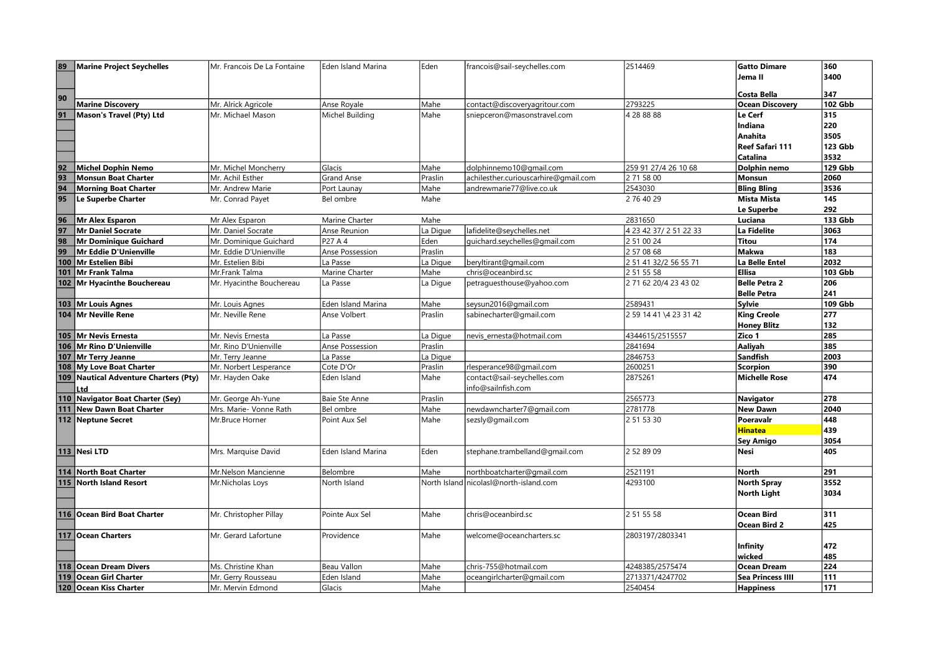| 89 | <b>Marine Project Seychelles</b>        | Mr. Francois De La Fontaine               | Eden Island Marina         | Eden            | francois@sail-seychelles.com           | 2514469                | <b>Gatto Dimare</b>      | 360            |
|----|-----------------------------------------|-------------------------------------------|----------------------------|-----------------|----------------------------------------|------------------------|--------------------------|----------------|
|    |                                         |                                           |                            |                 |                                        |                        | Jema II                  | 3400           |
|    |                                         |                                           |                            |                 |                                        |                        |                          |                |
| 90 |                                         |                                           |                            |                 |                                        |                        | <b>Costa Bella</b>       | 347            |
|    | <b>Marine Discovery</b>                 | Mr. Alrick Agricole                       | Anse Royale                | Mahe            | contact@discoveryagritour.com          | 2793225                | <b>Ocean Discovery</b>   | <b>102 Gbb</b> |
| 91 | Mason's Travel (Pty) Ltd                | Mr. Michael Mason                         | Michel Building            | Mahe            | sniepceron@masonstravel.com            | 4 28 88 88             | Le Cerf                  | 315            |
|    |                                         |                                           |                            |                 |                                        |                        | Indiana                  | 220            |
|    |                                         |                                           |                            |                 |                                        |                        | <b>Anahita</b>           | 3505           |
|    |                                         |                                           |                            |                 |                                        |                        | Reef Safari 111          | 123 Gbb        |
|    |                                         |                                           |                            |                 |                                        |                        | Catalina                 | 3532           |
| 92 | <b>Michel Dophin Nemo</b>               | Mr. Michel Moncherry                      | Glacis                     | Mahe            | dolphinnemo10@gmail.com                | 259 91 27/4 26 10 68   | Dolphin nemo             | 129 Gbb        |
| 93 | <b>Monsun Boat Charter</b>              | Mr. Achil Esther                          | <b>Grand Anse</b>          | Praslin         | achilesther.curiouscarhire@gmail.com   | 2 71 58 00             | Monsun                   | 2060           |
| 94 | <b>Morning Boat Charter</b>             | Mr. Andrew Marie                          | Port Launay                | Mahe            | andrewmarie77@live.co.uk               | 2543030                | <b>Bling Bling</b>       | 3536           |
| 95 | Le Superbe Charter                      | Mr. Conrad Payet                          | Bel ombre                  | Mahe            |                                        | 2 76 40 29             | <b>Mista Mista</b>       | 145            |
|    |                                         |                                           |                            |                 |                                        |                        | Le Superbe               | 292            |
| 96 | <b>Mr Alex Esparon</b>                  | Mr Alex Esparon                           | Marine Charter             | Mahe            |                                        | 2831650                | Luciana                  | 133 Gbb        |
| 97 | Mr Daniel Socrate                       | Mr. Daniel Socrate                        | Anse Reunion               | La Digue        | lafidelite@seychelles.net              | 4 23 42 37/ 2 51 22 33 | La Fidelite              | 3063           |
| 98 | Mr Dominique Guichard                   | Mr. Dominique Guichard                    | P27 A 4                    | Eden            | quichard.seychelles@gmail.com          | 2 51 00 24             | Titou                    | 174            |
| 99 | Mr Eddie D'Unienville                   | Mr. Eddie D'Unienville                    | Anse Possession            | Praslin         |                                        | 2 57 08 68             | Makwa                    | 183            |
|    | 100 Mr Estelien Bibi                    | Mr. Estelien Bibi                         | La Passe                   | La Digue        | beryltirant@gmail.com                  | 2 51 41 32/2 56 55 71  | $\vert$ La Belle Entel   | 2032           |
|    | 101 Mr Frank Talma                      | Mr.Frank Talma                            | Marine Charter             | Mahe            | chris@oceanbird.sc                     | 2 51 55 58             | <b>Ellisa</b>            | 103 Gbb        |
|    | 102 Mr Hyacinthe Bouchereau             | Mr. Hyacinthe Bouchereau                  | La Passe                   | La Digue        | petraguesthouse@yahoo.com              | 2 71 62 20/4 23 43 02  | Belle Petra 2            | 206            |
|    |                                         |                                           |                            |                 |                                        |                        | <b>Belle Petra</b>       | 241            |
|    | 103 Mr Louis Agnes                      | Mr. Louis Agnes                           | Eden Island Marina         | Mahe            | seysun2016@gmail.com                   | 2589431                | Sylvie                   | 109 Gbb        |
|    | 104 Mr Neville Rene                     | Mr. Neville Rene                          | Anse Volbert               | Praslin         | sabinecharter@gmail.com                | 2 59 14 41 \4 23 31 42 | <b>King Creole</b>       | 277            |
|    |                                         |                                           |                            |                 |                                        |                        | <b>Honey Blitz</b>       | 132            |
|    | 105 Mr Nevis Ernesta                    | Mr. Nevis Ernesta                         | La Passe                   | La Digue        | nevis ernesta@hotmail.com              | 4344615/2515557        | Zico 1                   | 285            |
|    | 106 Mr Rino D'Unienville                | Mr. Rino D'Unienville                     | Anse Possession            | Praslin         |                                        | 2841694                | Aaliyah                  | 385            |
|    | 107 Mr Terry Jeanne                     | Mr. Terry Jeanne                          | La Passe                   | La Digue        |                                        | 2846753                | Sandfish                 | 2003           |
|    | 108 My Love Boat Charter                |                                           | Cote D'Or                  |                 | rlesperance98@gmail.com                | 2600251                | Scorpion                 | 390            |
|    |                                         | Mr. Norbert Lesperance                    | Eden Island                | Praslin<br>Mahe |                                        | 2875261                | Michelle Rose            | 474            |
|    | 109 Nautical Adventure Charters (Pty)   | Mr. Hayden Oake                           |                            |                 | contact@sail-seychelles.com            |                        |                          |                |
|    | Ltd<br>110 Navigator Boat Charter (Sey) | Mr. George Ah-Yune                        |                            |                 | info@sailnfish.com                     | 2565773                |                          | 278            |
|    | 111 New Dawn Boat Charter               |                                           | Baie Ste Anne<br>Bel ombre | Praslin<br>Mahe |                                        | 2781778                | Navigator<br>New Dawn    | 2040           |
|    | 112 Neptune Secret                      | Mrs. Marie- Vonne Rath<br>Mr.Bruce Horner | Point Aux Sel              | Mahe            | newdawncharter7@gmail.com              | 2 51 53 30             | Poeravalr                | 448            |
|    |                                         |                                           |                            |                 | sezsly@gmail.com                       |                        |                          | 439            |
|    |                                         |                                           |                            |                 |                                        |                        | <b>Hinatea</b>           |                |
|    |                                         |                                           |                            |                 |                                        |                        | <b>Sey Amigo</b><br>Nesi | 3054<br>405    |
|    | 113 Nesi LTD                            | Mrs. Marquise David                       | Eden Island Marina         | Eden            | stephane.trambelland@gmail.com         | 2 52 89 09             |                          |                |
|    |                                         |                                           |                            |                 |                                        |                        |                          |                |
|    | 114 North Boat Charter                  | Mr.Nelson Mancienne                       | Belombre                   | Mahe            | northboatcharter@gmail.com             | 2521191                | North                    | 291            |
|    | 115 North Island Resort                 | Mr.Nicholas Loys                          | North Island               |                 | North Island nicolasl@north-island.com | 4293100                | North Spray              | 3552           |
|    |                                         |                                           |                            |                 |                                        |                        | North Light              | 3034           |
|    |                                         |                                           |                            |                 |                                        |                        |                          |                |
|    | 116 Ocean Bird Boat Charter             | Mr. Christopher Pillay                    | Pointe Aux Sel             | Mahe            | chris@oceanbird.sc                     | 2 51 55 58             | Ocean Bird               | 311            |
|    |                                         |                                           |                            |                 |                                        |                        | <b>Ocean Bird 2</b>      | 425            |
|    | 117 Ocean Charters                      | Mr. Gerard Lafortune                      | Providence                 | Mahe            | welcome@oceancharters.sc               | 2803197/2803341        |                          |                |
|    |                                         |                                           |                            |                 |                                        |                        | Infinity                 | 472            |
|    |                                         |                                           |                            |                 |                                        |                        | wicked                   | 485            |
|    | 118 Ocean Dream Divers                  | Ms. Christine Khan                        | Beau Vallon                | Mahe            | chris-755@hotmail.com                  | 4248385/2575474        | Ocean Dream              | 224            |
|    | 119 Ocean Girl Charter                  | Mr. Gerry Rousseau                        | Eden Island                | Mahe            | oceangirlcharter@gmail.com             | 2713371/4247702        | <b>Sea Princess IIII</b> | 111            |
|    | 120 Ocean Kiss Charter                  | Mr. Mervin Edmond                         | Glacis                     | Mahe            |                                        | 2540454                | <b>Happiness</b>         | 171            |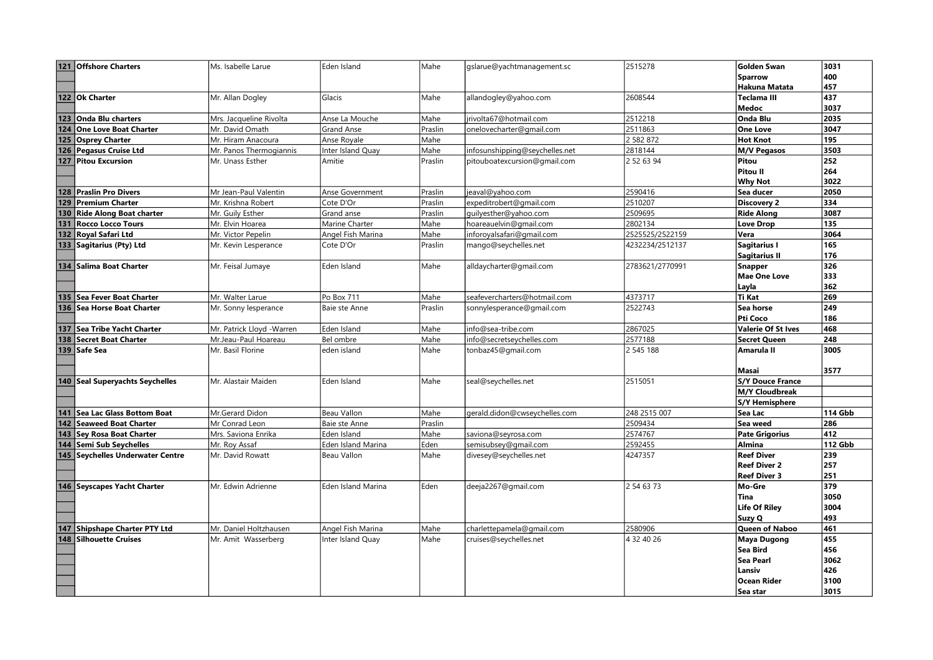| 121 Offshore Charters            | Ms. Isabelle Larue        | Eden Island               | lMahe   | gslarue@yachtmanagement.sc     | 2515278         | <b>Golden Swan</b>        | 3031           |
|----------------------------------|---------------------------|---------------------------|---------|--------------------------------|-----------------|---------------------------|----------------|
|                                  |                           |                           |         |                                |                 | <b>Sparrow</b>            | 400            |
|                                  |                           |                           |         |                                |                 | <b>Hakuna Matata</b>      | 457            |
| 122 Ok Charter                   | Mr. Allan Dogley          | Glacis                    | Mahe    | allandogley@yahoo.com          | 2608544         | <b>Teclama III</b>        | 437            |
|                                  |                           |                           |         |                                |                 | <b>Medoc</b>              | 3037           |
| 123 Onda Blu charters            | Mrs. Jacqueline Rivolta   | Anse La Mouche            | Mahe    | jrivolta67@hotmail.com         | 2512218         | <b>Onda Blu</b>           | 2035           |
| 124 One Love Boat Charter        | Mr. David Omath           | <b>Grand Anse</b>         | Praslin | onelovecharter@gmail.com       | 2511863         | <b>One Love</b>           | 3047           |
| 125 Osprey Charter               | Mr. Hiram Anacoura        | Anse Royale               | Mahe    |                                | 2 582 872       | <b>Hot Knot</b>           | 195            |
| 126 Pegasus Cruise Ltd           | Mr. Panos Thermogiannis   | Inter Island Quay         | Mahe    | infosunshipping@seychelles.net | 2818144         | <b>M/V Pegasos</b>        | 3503           |
| 127 Pitou Excursion              | Mr. Unass Esther          | Amitie                    | Praslin | pitouboatexcursion@gmail.com   | 2 52 63 94      | Pitou                     | 252            |
|                                  |                           |                           |         |                                |                 | <b>Pitou II</b>           | 264            |
|                                  |                           |                           |         |                                |                 | <b>Why Not</b>            | 3022           |
| 128 Praslin Pro Divers           | Mr Jean-Paul Valentin     | Anse Government           | Praslin | jeaval@yahoo.com               | 2590416         | Sea ducer                 | 2050           |
| 129 Premium Charter              | Mr. Krishna Robert        | Cote D'Or                 | Praslin | expeditrobert@gmail.com        | 2510207         | <b>Discovery 2</b>        | 334            |
| 130 Ride Along Boat charter      | Mr. Guily Esther          | Grand anse                | Praslin | guilyesther@yahoo.com          | 2509695         | <b>Ride Along</b>         | 3087           |
| 131 Rocco Locco Tours            | Mr. Elvin Hoarea          | Marine Charter            | Mahe    | hoareauelvin@gmail.com         | 2802134         | <b>Love Drop</b>          | 135            |
| 132 Roval Safari Ltd             | Mr. Victor Pepelin        | Angel Fish Marina         | Mahe    | inforoyalsafari@gmail.com      | 2525525/2522159 | Vera                      | 3064           |
| 133 Sagitarius (Pty) Ltd         | Mr. Kevin Lesperance      | Cote D'Or                 | Praslin | mango@seychelles.net           | 4232234/2512137 | Sagitarius I              | 165            |
|                                  |                           |                           |         |                                |                 | <b>Sagitarius II</b>      | 176            |
| 134 Salima Boat Charter          | Mr. Feisal Jumaye         | Eden Island               | Mahe    | alldaycharter@gmail.com        | 2783621/2770991 | <b>Snapper</b>            | 326            |
|                                  |                           |                           |         |                                |                 | <b>Mae One Love</b>       | 333            |
|                                  |                           |                           |         |                                |                 | Layla                     | 362            |
| 135 Sea Fever Boat Charter       | Mr. Walter Larue          | Po Box 711                | Mahe    | seafevercharters@hotmail.com   | 4373717         | <b>Ti Kat</b>             | 269            |
| 136   Sea Horse Boat Charter     | Mr. Sonny lesperance      | Baie ste Anne             | Praslin | sonnylesperance@gmail.com      | 2522743         | Sea horse                 | 249            |
|                                  |                           |                           |         |                                |                 | Pti Coco                  | 186            |
| 137 Sea Tribe Yacht Charter      | Mr. Patrick Llovd -Warren | Eden Island               | lMahe   | info@sea-tribe.com             | 2867025         | <b>Valerie Of St Ives</b> | 468            |
| 138 Secret Boat Charter          | Mr.Jeau-Paul Hoareau      | Bel ombre                 | Mahe    | info@secretseychelles.com      | 2577188         | <b>Secret Queen</b>       | 248            |
| 139 Safe Sea                     | Mr. Basil Florine         | eden island               | Mahe    | tonbaz45@gmail.com             | 2 545 188       | Amarula II                | 3005           |
|                                  |                           |                           |         |                                |                 |                           |                |
|                                  |                           |                           |         |                                |                 | <b>Masai</b>              | 3577           |
| 140 Seal Superyachts Seychelles  | Mr. Alastair Maiden       | Eden Island               | lMahe   | seal@seychelles.net            | 2515051         | <b>S/Y Douce France</b>   |                |
|                                  |                           |                           |         |                                |                 | <b>M/Y Cloudbreak</b>     |                |
|                                  |                           |                           |         |                                |                 | <b>S/Y Hemisphere</b>     |                |
| 141 Sea Lac Glass Bottom Boat    | Mr.Gerard Didon           | <b>Beau Vallon</b>        | Mahe    | gerald.didon@cwseychelles.com  | 248 2515 007    | Sea Lac                   | <b>114 Gbb</b> |
| 142 Seaweed Boat Charter         | Mr Conrad Leon            | Baie ste Anne             | Praslin |                                | 2509434         | Sea weed                  | 286            |
| 143 Sev Rosa Boat Charter        | Mrs. Saviona Enrika       | Eden Island               | Mahe    | saviona@seyrosa.com            | 2574767         | <b>Pate Grigorius</b>     | 412            |
| 144 Semi Sub Seychelles          | Mr. Roy Assaf             | Eden Island Marina        | Eden    | semisubsey@gmail.com           | 2592455         | <b>Almina</b>             | <b>112 Gbb</b> |
| 145 Seychelles Underwater Centre | Mr. David Rowatt          | Beau Vallon               | Mahe    | divesey@seychelles.net         | 4247357         | <b>Reef Diver</b>         | 239            |
|                                  |                           |                           |         |                                |                 | <b>Reef Diver 2</b>       | 257            |
|                                  |                           |                           |         |                                |                 | <b>Reef Diver 3</b>       | 251            |
| 146 Seyscapes Yacht Charter      | Mr. Edwin Adrienne        | <b>Eden Island Marina</b> | lEden.  | deeja2267@gmail.com            | 2 54 63 73      | Mo-Gre                    | 379            |
|                                  |                           |                           |         |                                |                 | Tina                      | 3050           |
|                                  |                           |                           |         |                                |                 | <b>Life Of Riley</b>      | 3004           |
|                                  |                           |                           |         |                                |                 | Suzy Q                    | 493            |
| 147 Shipshape Charter PTY Ltd    | Mr. Daniel Holtzhausen    | Angel Fish Marina         | Mahe    | charlettepamela@gmail.com      | 2580906         | <b>Queen of Naboo</b>     | 461            |
| 148 Silhouette Cruises           | Mr. Amit Wasserberg       | Inter Island Quay         | Mahe    | cruises@seychelles.net         | 4 32 40 26      | <b>Maya Dugong</b>        | 455            |
|                                  |                           |                           |         |                                |                 | Sea Bird                  | 456            |
|                                  |                           |                           |         |                                |                 | <b>Sea Pearl</b>          | 3062           |
|                                  |                           |                           |         |                                |                 | Lansiv                    | 426            |
|                                  |                           |                           |         |                                |                 | <b>Ocean Rider</b>        | 3100           |
|                                  |                           |                           |         |                                |                 | Sea star                  | 3015           |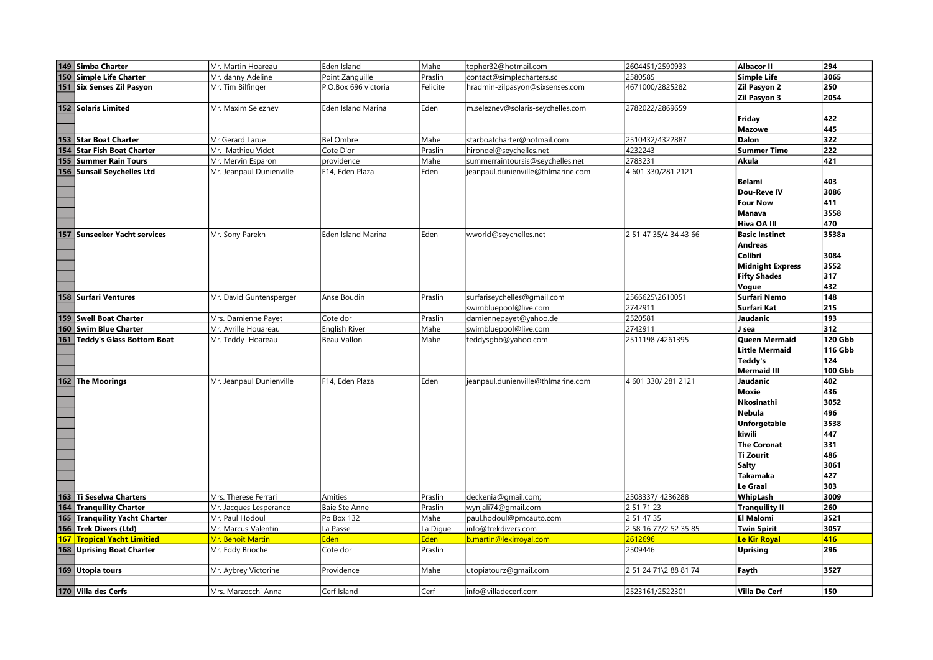| 149 Simba Charter                      | Mr. Martin Hoareau       | Eden Island          | Mahe     | topher32@hotmail.com               | 2604451/2590933       | <b>Albacor II</b>       | 294            |
|----------------------------------------|--------------------------|----------------------|----------|------------------------------------|-----------------------|-------------------------|----------------|
| 150 Simple Life Charter                | Mr. danny Adeline        | Point Zanguille      | Praslin  | contact@simplecharters.sc          | 2580585               | <b>Simple Life</b>      | 3065           |
| 151 Six Senses Zil Pasyon              | Mr. Tim Bilfinger        | P.O.Box 696 victoria | Felicite | hradmin-zilpasyon@sixsenses.com    | 4671000/2825282       | Zil Pasyon 2            | 250            |
|                                        |                          |                      |          |                                    |                       | <b>Zil Pasyon 3</b>     | 2054           |
| 152 Solaris Limited                    | Mr. Maxim Seleznev       | Eden Island Marina   | Eden     | m.seleznev@solaris-seychelles.com  | 2782022/2869659       |                         |                |
|                                        |                          |                      |          |                                    |                       | Friday                  | 422            |
|                                        |                          |                      |          |                                    |                       | <b>Mazowe</b>           | 445            |
| 153 Star Boat Charter                  | Mr Gerard Larue          | <b>Bel Ombre</b>     | Mahe     | starboatcharter@hotmail.com        | 2510432/4322887       | Dalon                   | 322            |
| <b>Star Fish Boat Charter</b><br>154   | Mr. Mathieu Vidot        | Cote D'or            | Praslin  | hirondel@seychelles.net            | 4232243               | <b>Summer Time</b>      | 222            |
| 155   Summer Rain Tours                | Mr. Mervin Esparon       | providence           | Mahe     | summerraintoursis@seychelles.net   | 2783231               | Akula                   | 421            |
| 156 Sunsail Seychelles Ltd             | Mr. Jeanpaul Dunienville | F14, Eden Plaza      | Eden     | jeanpaul.dunienville@thlmarine.com | 4 601 330/281 2121    |                         |                |
|                                        |                          |                      |          |                                    |                       | <b>Belami</b>           | 403            |
|                                        |                          |                      |          |                                    |                       | Dou-Reve IV             | 3086           |
|                                        |                          |                      |          |                                    |                       | <b>Four Now</b>         | 411            |
|                                        |                          |                      |          |                                    |                       | Manava                  | 3558           |
|                                        |                          |                      |          |                                    |                       | Hiva OA III             | 470            |
| 157<br><b>Sunseeker Yacht services</b> | Mr. Sony Parekh          | Eden Island Marina   | Eden     | wworld@seychelles.net              | 2 51 47 35/4 34 43 66 | <b>Basic Instinct</b>   | 3538a          |
|                                        |                          |                      |          |                                    |                       | <b>Andreas</b>          |                |
|                                        |                          |                      |          |                                    |                       | Colibri                 | 3084           |
|                                        |                          |                      |          |                                    |                       | <b>Midnight Express</b> | 3552           |
|                                        |                          |                      |          |                                    |                       | <b>Fifty Shades</b>     | 317            |
|                                        |                          |                      |          |                                    |                       | Vogue                   | 432            |
| 158 Surfari Ventures                   | Mr. David Guntensperger  | Anse Boudin          | Praslin  | surfariseychelles@gmail.com        | 2566625\2610051       | <b>Surfari Nemo</b>     | 148            |
|                                        |                          |                      |          | swimbluepool@live.com              | 2742911               | Surfari Kat             | 215            |
| 159 Swell Boat Charter                 | Mrs. Damienne Payet      | Cote dor             | Praslin  | damiennepayet@yahoo.de             | 2520581               | Jaudanic                | 193            |
| 160 Swim Blue Charter                  | Mr. Avrille Houareau     | <b>English River</b> | Mahe     | swimbluepool@live.com              | 2742911               | J sea                   | 312            |
| 161 Teddy's Glass Bottom Boat          | Mr. Teddy Hoareau        | Beau Vallon          | Mahe     | teddysgbb@yahoo.com                | 2511198 /4261395      | <b>Queen Mermaid</b>    | <b>120 Gbb</b> |
|                                        |                          |                      |          |                                    |                       | <b>Little Mermaid</b>   | 116 Gbb        |
|                                        |                          |                      |          |                                    |                       | Teddy's                 | 124            |
|                                        |                          |                      |          |                                    |                       | <b>Mermaid III</b>      | 100 Gbb        |
| 162 The Moorings                       | Mr. Jeanpaul Dunienville | F14, Eden Plaza      | Eden     | jeanpaul.dunienville@thImarine.com | 4 601 330/281 2121    | Jaudanic                | 402            |
|                                        |                          |                      |          |                                    |                       | Moxie                   | 436            |
|                                        |                          |                      |          |                                    |                       | Nkosinathi              | 3052           |
|                                        |                          |                      |          |                                    |                       | Nebula                  | 496            |
|                                        |                          |                      |          |                                    |                       | <b>Unforgetable</b>     | 3538           |
|                                        |                          |                      |          |                                    |                       | kiwili                  | 447            |
|                                        |                          |                      |          |                                    |                       | <b>The Coronat</b>      | 331            |
|                                        |                          |                      |          |                                    |                       | <b>Ti Zourit</b>        | 486            |
|                                        |                          |                      |          |                                    |                       | Salty                   | 3061           |
|                                        |                          |                      |          |                                    |                       | <b>Takamaka</b>         | 427            |
|                                        |                          |                      |          |                                    |                       | <b>Le Graal</b>         | 303            |
| 163 Ti Seselwa Charters                | Mrs. Therese Ferrari     | Amities              | Praslin  | deckenia@gmail.com;                | 2508337/4236288       | WhipLash                | 3009           |
| 164 Tranquility Charter                | Mr. Jacques Lesperance   | <b>Baie Ste Anne</b> | Praslin  | wynjali74@gmail.com                | 2 51 71 23            | <b>Tranquility II</b>   | 260            |
| 165 Tranquility Yacht Charter          | Mr. Paul Hodoul          | Po Box 132           | Mahe     | paul.hodoul@pmcauto.com            | 2 51 47 35            | <b>El Malomi</b>        | 3521           |
| 166 Trek Divers (Ltd)                  | Mr. Marcus Valentin      | La Passe             | La Digue | info@trekdivers.com                | 2 58 16 77/2 52 35 85 | <b>Twin Spirit</b>      | 3057           |
| <b>167 Tropical Yacht Limitied</b>     | Mr. Benoit Martin        | Eden                 | Eden     | b.martin@lekirroyal.com            | 2612696               | Le Kir Royal            | 416            |
| 168 Uprising Boat Charter              | Mr. Eddy Brioche         | Cote dor             | Praslin  |                                    | 2509446               | Uprising                | 296            |
|                                        |                          |                      |          |                                    |                       |                         |                |
| 169 Utopia tours                       | Mr. Aybrey Victorine     | Providence           | Mahe     | utopiatourz@gmail.com              | 2 51 24 71\2 88 81 74 | Fayth                   | 3527           |
|                                        |                          |                      |          |                                    |                       |                         |                |
| 170 Villa des Cerfs                    | Mrs. Marzocchi Anna      | Cerf Island          | Cerf     | info@villadecerf.com               | 2523161/2522301       | Villa De Cerf           | 150            |
|                                        |                          |                      |          |                                    |                       |                         |                |